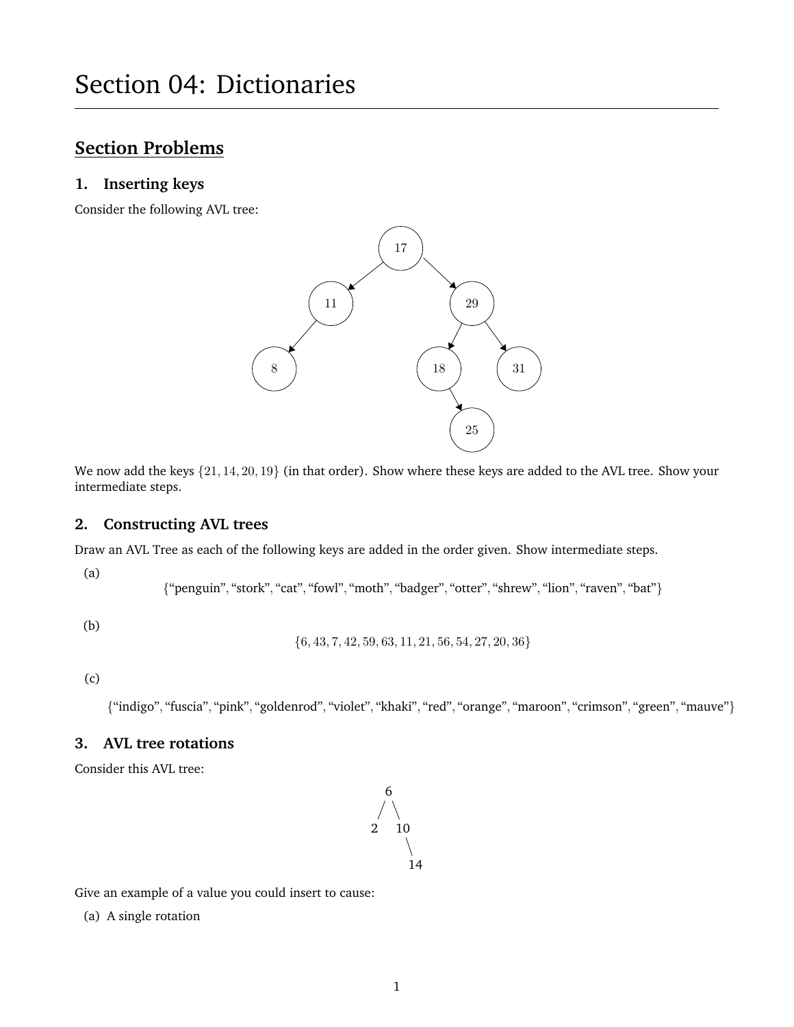# **Section Problems**

#### **1. Inserting keys**

Consider the following AVL tree:



We now add the keys  $\{21, 14, 20, 19\}$  (in that order). Show where these keys are added to the AVL tree. Show your intermediate steps.

### **2. Constructing AVL trees**

Draw an AVL Tree as each of the following keys are added in the order given. Show intermediate steps.

(a)

{"penguin", "stork", "cat", "fowl", "moth", "badger", "otter", "shrew", "lion", "raven", "bat"}

(b)

{6, 43, 7, 42, 59, 63, 11, 21, 56, 54, 27, 20, 36}

(c)

{"indigo", "fuscia", "pink", "goldenrod", "violet", "khaki", "red", "orange", "maroon", "crimson", "green", "mauve"}

### **3. AVL tree rotations**

Consider this AVL tree:



Give an example of a value you could insert to cause:

(a) A single rotation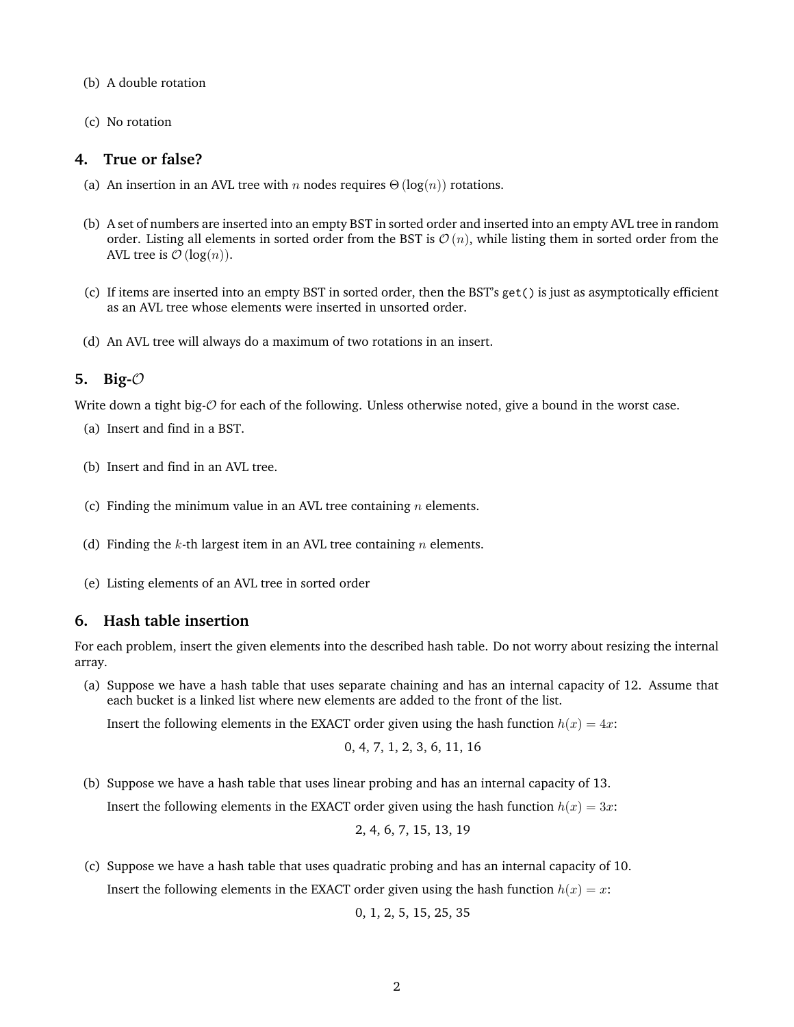- (b) A double rotation
- (c) No rotation

## **4. True or false?**

- (a) An insertion in an AVL tree with n nodes requires  $\Theta(\log(n))$  rotations.
- (b) A set of numbers are inserted into an empty BST in sorted order and inserted into an empty AVL tree in random order. Listing all elements in sorted order from the BST is  $\mathcal{O}(n)$ , while listing them in sorted order from the AVL tree is  $\mathcal{O}(\log(n)).$
- (c) If items are inserted into an empty BST in sorted order, then the BST's get() is just as asymptotically efficient as an AVL tree whose elements were inserted in unsorted order.
- (d) An AVL tree will always do a maximum of two rotations in an insert.

## **5. Big-**O

Write down a tight big- $\mathcal O$  for each of the following. Unless otherwise noted, give a bound in the worst case.

- (a) Insert and find in a BST.
- (b) Insert and find in an AVL tree.
- (c) Finding the minimum value in an AVL tree containing  $n$  elements.
- (d) Finding the k-th largest item in an AVL tree containing  $n$  elements.
- (e) Listing elements of an AVL tree in sorted order

## **6. Hash table insertion**

For each problem, insert the given elements into the described hash table. Do not worry about resizing the internal array.

(a) Suppose we have a hash table that uses separate chaining and has an internal capacity of 12. Assume that each bucket is a linked list where new elements are added to the front of the list.

Insert the following elements in the EXACT order given using the hash function  $h(x) = 4x$ :

$$
0, 4, 7, 1, 2, 3, 6, 11, 16
$$

- (b) Suppose we have a hash table that uses linear probing and has an internal capacity of 13. Insert the following elements in the EXACT order given using the hash function  $h(x) = 3x$ : 2, 4, 6, 7, 15, 13, 19
- (c) Suppose we have a hash table that uses quadratic probing and has an internal capacity of 10. Insert the following elements in the EXACT order given using the hash function  $h(x) = x$ :

0, 1, 2, 5, 15, 25, 35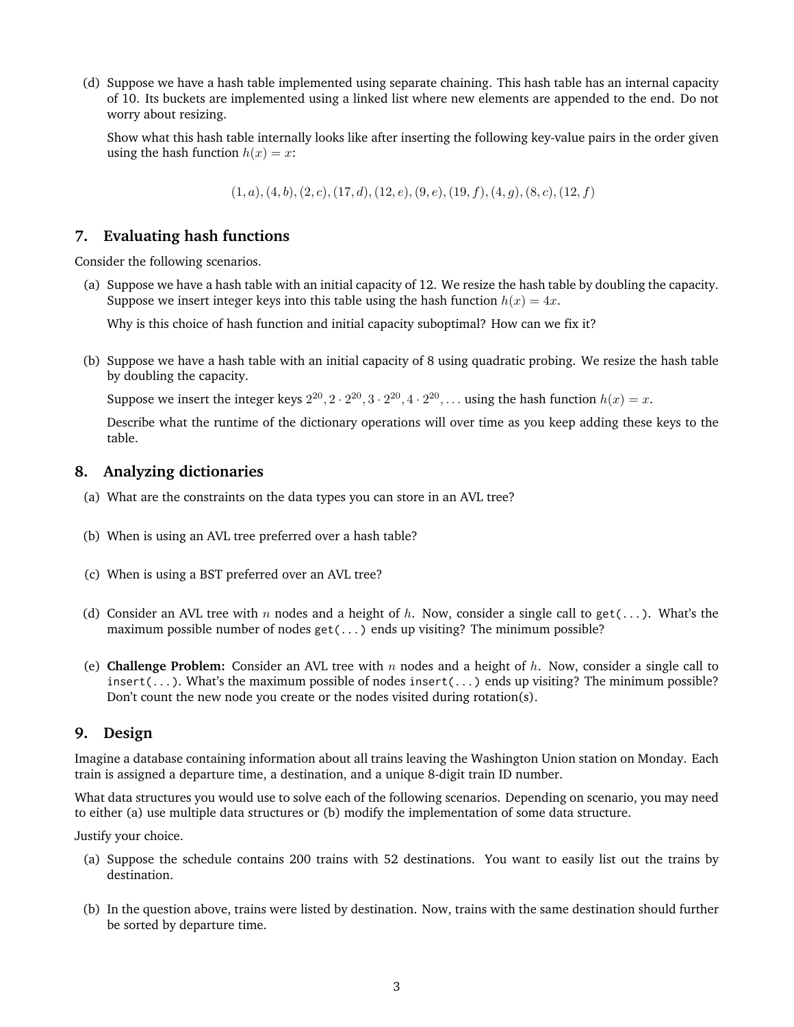(d) Suppose we have a hash table implemented using separate chaining. This hash table has an internal capacity of 10. Its buckets are implemented using a linked list where new elements are appended to the end. Do not worry about resizing.

Show what this hash table internally looks like after inserting the following key-value pairs in the order given using the hash function  $h(x) = x$ :

 $(1, a), (4, b), (2, c), (17, d), (12, e), (9, e), (19, f), (4, g), (8, c), (12, f)$ 

## **7. Evaluating hash functions**

Consider the following scenarios.

(a) Suppose we have a hash table with an initial capacity of 12. We resize the hash table by doubling the capacity. Suppose we insert integer keys into this table using the hash function  $h(x) = 4x$ .

Why is this choice of hash function and initial capacity suboptimal? How can we fix it?

(b) Suppose we have a hash table with an initial capacity of 8 using quadratic probing. We resize the hash table by doubling the capacity.

Suppose we insert the integer keys  $2^{20}$ ,  $2 \cdot 2^{20}$ ,  $3 \cdot 2^{20}$ ,  $4 \cdot 2^{20}$ , ... using the hash function  $h(x) = x$ .

Describe what the runtime of the dictionary operations will over time as you keep adding these keys to the table.

#### **8. Analyzing dictionaries**

- (a) What are the constraints on the data types you can store in an AVL tree?
- (b) When is using an AVL tree preferred over a hash table?
- (c) When is using a BST preferred over an AVL tree?
- (d) Consider an AVL tree with n nodes and a height of h. Now, consider a single call to get(...). What's the maximum possible number of nodes  $get(...)$  ends up visiting? The minimum possible?
- (e) **Challenge Problem:** Consider an AVL tree with  $n$  nodes and a height of  $h$ . Now, consider a single call to insert(...). What's the maximum possible of nodes insert(...) ends up visiting? The minimum possible? Don't count the new node you create or the nodes visited during rotation(s).

#### **9. Design**

Imagine a database containing information about all trains leaving the Washington Union station on Monday. Each train is assigned a departure time, a destination, and a unique 8-digit train ID number.

What data structures you would use to solve each of the following scenarios. Depending on scenario, you may need to either (a) use multiple data structures or (b) modify the implementation of some data structure.

Justify your choice.

- (a) Suppose the schedule contains 200 trains with 52 destinations. You want to easily list out the trains by destination.
- (b) In the question above, trains were listed by destination. Now, trains with the same destination should further be sorted by departure time.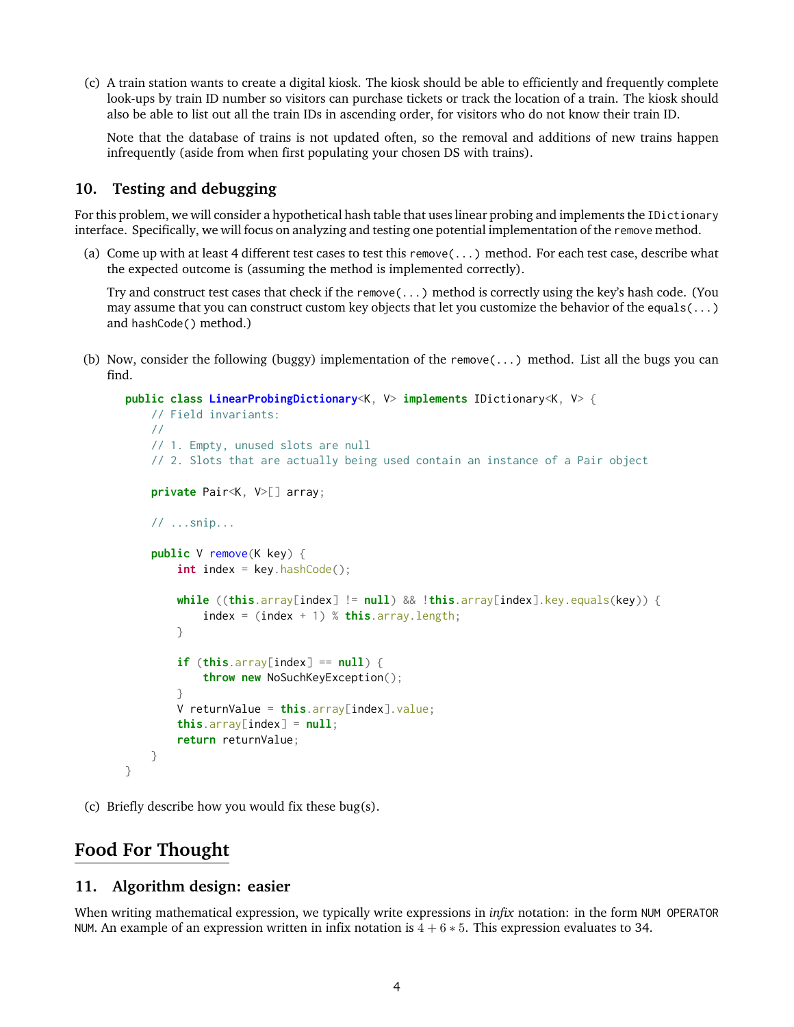(c) A train station wants to create a digital kiosk. The kiosk should be able to efficiently and frequently complete look-ups by train ID number so visitors can purchase tickets or track the location of a train. The kiosk should also be able to list out all the train IDs in ascending order, for visitors who do not know their train ID.

Note that the database of trains is not updated often, so the removal and additions of new trains happen infrequently (aside from when first populating your chosen DS with trains).

## **10. Testing and debugging**

For this problem, we will consider a hypothetical hash table that uses linear probing and implements the IDictionary interface. Specifically, we will focus on analyzing and testing one potential implementation of the remove method.

(a) Come up with at least 4 different test cases to test this remove(...) method. For each test case, describe what the expected outcome is (assuming the method is implemented correctly).

Try and construct test cases that check if the remove(...) method is correctly using the key's hash code. (You may assume that you can construct custom key objects that let you customize the behavior of the equals(...) and hashCode() method.)

(b) Now, consider the following (buggy) implementation of the remove(...) method. List all the bugs you can find.

```
public class LinearProbingDictionary<K, V> implements IDictionary<K, V> {
   // Field invariants:
   //
    // 1. Empty, unused slots are null
    // 2. Slots that are actually being used contain an instance of a Pair object
    private Pair<K, V>[] array;
   // ...snip...
    public V remove(K key) {
        int index = key.hashCode();
        while ((this.array[index] != null) && !this.array[index].key.equals(key)) {
            index = (index + 1) % this.array.length;
        }
        if (this.array[index] == null) {
            throw new NoSuchKeyException();
        }
        V returnValue = this.array[index].value;
        this.array[index] = null;return returnValue;
   }
}
```
(c) Briefly describe how you would fix these bug(s).

## **Food For Thought**

## **11. Algorithm design: easier**

When writing mathematical expression, we typically write expressions in *infix* notation: in the form NUM OPERATOR NUM. An example of an expression written in infix notation is  $4 + 6 * 5$ . This expression evaluates to 34.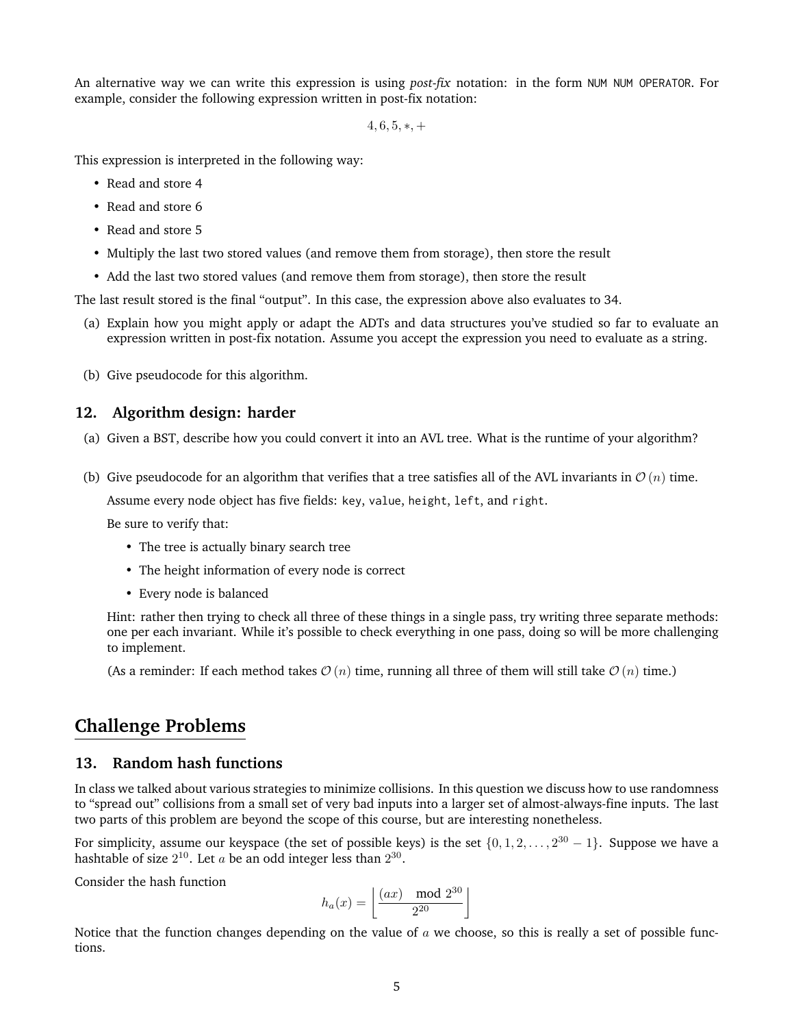An alternative way we can write this expression is using *post-fix* notation: in the form NUM NUM OPERATOR. For example, consider the following expression written in post-fix notation:

 $4, 6, 5, *, +$ 

This expression is interpreted in the following way:

- Read and store 4
- Read and store 6
- Read and store 5
- Multiply the last two stored values (and remove them from storage), then store the result
- Add the last two stored values (and remove them from storage), then store the result

The last result stored is the final "output". In this case, the expression above also evaluates to 34.

- (a) Explain how you might apply or adapt the ADTs and data structures you've studied so far to evaluate an expression written in post-fix notation. Assume you accept the expression you need to evaluate as a string.
- (b) Give pseudocode for this algorithm.

#### **12. Algorithm design: harder**

- (a) Given a BST, describe how you could convert it into an AVL tree. What is the runtime of your algorithm?
- (b) Give pseudocode for an algorithm that verifies that a tree satisfies all of the AVL invariants in  $\mathcal{O}(n)$  time.

Assume every node object has five fields: key, value, height, left, and right.

Be sure to verify that:

- The tree is actually binary search tree
- The height information of every node is correct
- Every node is balanced

Hint: rather then trying to check all three of these things in a single pass, try writing three separate methods: one per each invariant. While it's possible to check everything in one pass, doing so will be more challenging to implement.

(As a reminder: If each method takes  $\mathcal{O}(n)$  time, running all three of them will still take  $\mathcal{O}(n)$  time.)

## **Challenge Problems**

#### **13. Random hash functions**

In class we talked about various strategies to minimize collisions. In this question we discuss how to use randomness to "spread out" collisions from a small set of very bad inputs into a larger set of almost-always-fine inputs. The last two parts of this problem are beyond the scope of this course, but are interesting nonetheless.

For simplicity, assume our keyspace (the set of possible keys) is the set  $\{0, 1, 2, \ldots, 2^{30} - 1\}$ . Suppose we have a hashtable of size  $2^{10}$ . Let  $a$  be an odd integer less than  $2^{30}$ .

Consider the hash function

$$
h_a(x) = \left\lfloor \frac{(ax) \mod 2^{30}}{2^{20}} \right\rfloor
$$

Notice that the function changes depending on the value of  $a$  we choose, so this is really a set of possible functions.